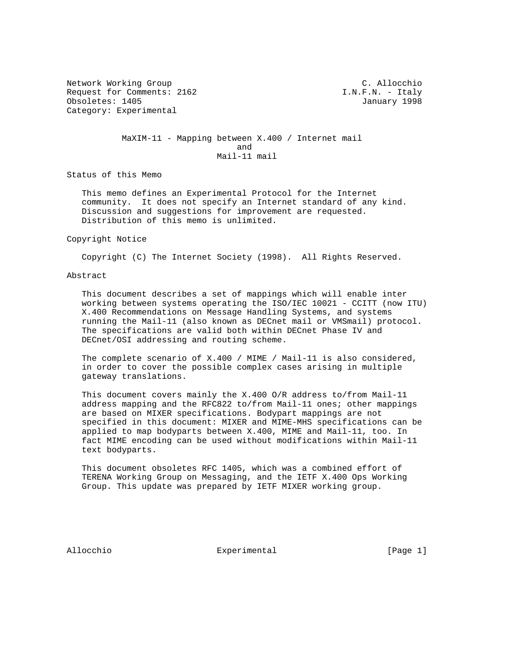Network Working Group C. Allocchio Request for Comments: 2162 **I.N.F.N. - Italy** Obsoletes: 1405 January 1998 Category: Experimental

 MaXIM-11 - Mapping between X.400 / Internet mail and the contract of the contract of the contract of the contract of the contract of the contract of the contract of the contract of the contract of the contract of the contract of the contract of the contract of the contra Mail-11 mail

Status of this Memo

 This memo defines an Experimental Protocol for the Internet community. It does not specify an Internet standard of any kind. Discussion and suggestions for improvement are requested. Distribution of this memo is unlimited.

Copyright Notice

Copyright (C) The Internet Society (1998). All Rights Reserved.

## Abstract

 This document describes a set of mappings which will enable inter working between systems operating the ISO/IEC 10021 - CCITT (now ITU) X.400 Recommendations on Message Handling Systems, and systems running the Mail-11 (also known as DECnet mail or VMSmail) protocol. The specifications are valid both within DECnet Phase IV and DECnet/OSI addressing and routing scheme.

 The complete scenario of X.400 / MIME / Mail-11 is also considered, in order to cover the possible complex cases arising in multiple gateway translations.

 This document covers mainly the X.400 O/R address to/from Mail-11 address mapping and the RFC822 to/from Mail-11 ones; other mappings are based on MIXER specifications. Bodypart mappings are not specified in this document: MIXER and MIME-MHS specifications can be applied to map bodyparts between X.400, MIME and Mail-11, too. In fact MIME encoding can be used without modifications within Mail-11 text bodyparts.

 This document obsoletes RFC 1405, which was a combined effort of TERENA Working Group on Messaging, and the IETF X.400 Ops Working Group. This update was prepared by IETF MIXER working group.

Allocchio  $\Box$  Experimental [Page 1]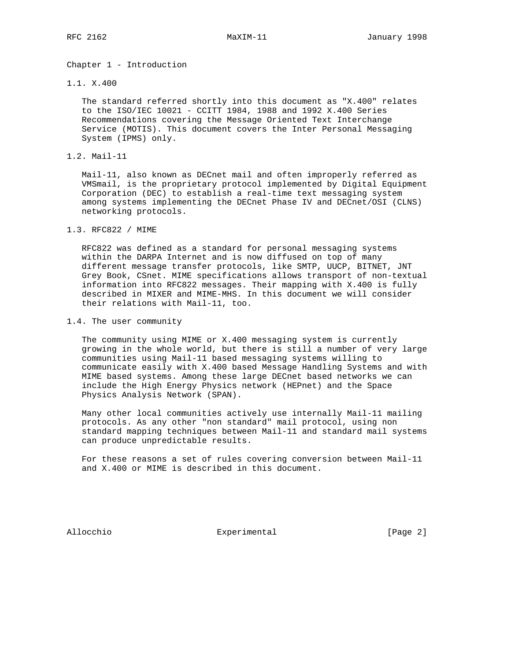Chapter 1 - Introduction

1.1. X.400

 The standard referred shortly into this document as "X.400" relates to the ISO/IEC 10021 - CCITT 1984, 1988 and 1992 X.400 Series Recommendations covering the Message Oriented Text Interchange Service (MOTIS). This document covers the Inter Personal Messaging System (IPMS) only.

1.2. Mail-11

 Mail-11, also known as DECnet mail and often improperly referred as VMSmail, is the proprietary protocol implemented by Digital Equipment Corporation (DEC) to establish a real-time text messaging system among systems implementing the DECnet Phase IV and DECnet/OSI (CLNS) networking protocols.

1.3. RFC822 / MIME

 RFC822 was defined as a standard for personal messaging systems within the DARPA Internet and is now diffused on top of many different message transfer protocols, like SMTP, UUCP, BITNET, JNT Grey Book, CSnet. MIME specifications allows transport of non-textual information into RFC822 messages. Their mapping with X.400 is fully described in MIXER and MIME-MHS. In this document we will consider their relations with Mail-11, too.

1.4. The user community

 The community using MIME or X.400 messaging system is currently growing in the whole world, but there is still a number of very large communities using Mail-11 based messaging systems willing to communicate easily with X.400 based Message Handling Systems and with MIME based systems. Among these large DECnet based networks we can include the High Energy Physics network (HEPnet) and the Space Physics Analysis Network (SPAN).

 Many other local communities actively use internally Mail-11 mailing protocols. As any other "non standard" mail protocol, using non standard mapping techniques between Mail-11 and standard mail systems can produce unpredictable results.

 For these reasons a set of rules covering conversion between Mail-11 and X.400 or MIME is described in this document.

Allocchio **Experimental** Experimental [Page 2]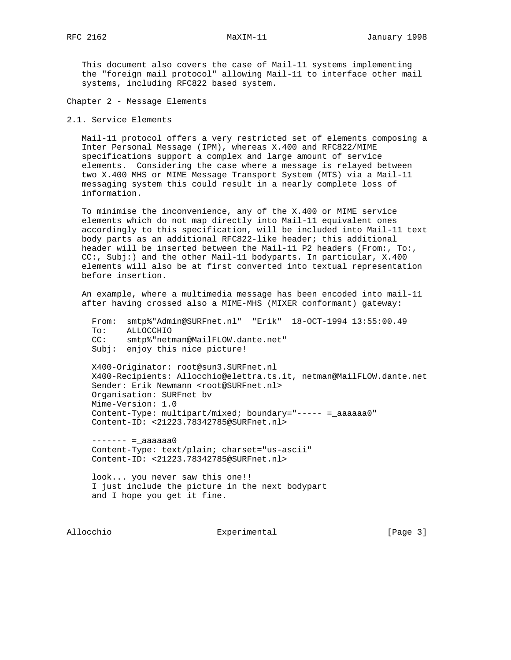This document also covers the case of Mail-11 systems implementing the "foreign mail protocol" allowing Mail-11 to interface other mail systems, including RFC822 based system.

Chapter 2 - Message Elements

2.1. Service Elements

 Mail-11 protocol offers a very restricted set of elements composing a Inter Personal Message (IPM), whereas X.400 and RFC822/MIME specifications support a complex and large amount of service elements. Considering the case where a message is relayed between two X.400 MHS or MIME Message Transport System (MTS) via a Mail-11 messaging system this could result in a nearly complete loss of information.

 To minimise the inconvenience, any of the X.400 or MIME service elements which do not map directly into Mail-11 equivalent ones accordingly to this specification, will be included into Mail-11 text body parts as an additional RFC822-like header; this additional header will be inserted between the Mail-11 P2 headers (From:, To:, CC:, Subj:) and the other Mail-11 bodyparts. In particular, X.400 elements will also be at first converted into textual representation before insertion.

 An example, where a multimedia message has been encoded into mail-11 after having crossed also a MIME-MHS (MIXER conformant) gateway:

 From: smtp%"Admin@SURFnet.nl" "Erik" 18-OCT-1994 13:55:00.49 To: ALLOCCHIO CC: smtp%"netman@MailFLOW.dante.net" Subj: enjoy this nice picture!

 X400-Originator: root@sun3.SURFnet.nl X400-Recipients: Allocchio@elettra.ts.it, netman@MailFLOW.dante.net Sender: Erik Newmann <root@SURFnet.nl> Organisation: SURFnet bv Mime-Version: 1.0 Content-Type: multipart/mixed; boundary="----- =\_aaaaaa0" Content-ID: <21223.78342785@SURFnet.nl>

 $------ = \_aaaaaaa0$  Content-Type: text/plain; charset="us-ascii" Content-ID: <21223.78342785@SURFnet.nl>

 look... you never saw this one!! I just include the picture in the next bodypart and I hope you get it fine.

Allocchio  $\Box$  Experimental [Page 3]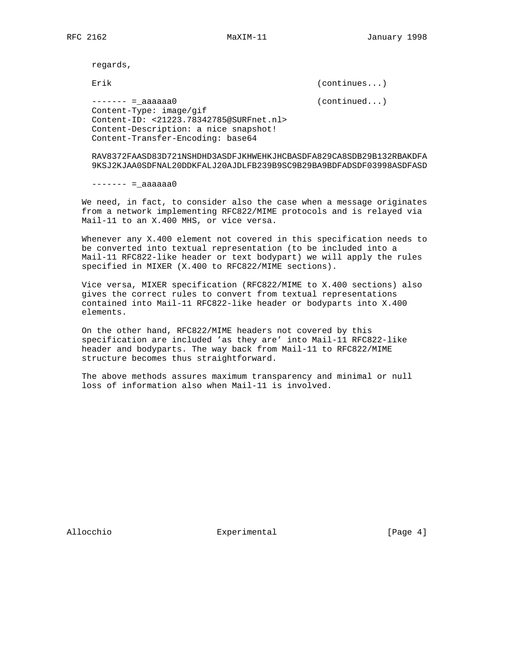regards,

Erik (continues...)

 ------- =\_aaaaaa0 (continued...) Content-Type: image/gif Content-ID: <21223.78342785@SURFnet.nl> Content-Description: a nice snapshot! Content-Transfer-Encoding: base64

 RAV8372FAASD83D721NSHDHD3ASDFJKHWEHKJHCBASDFA829CA8SDB29B132RBAKDFA 9KSJ2KJAA0SDFNAL20DDKFALJ20AJDLFB239B9SC9B29BA9BDFADSDF03998ASDFASD

 $------ = \_ aaaaaaa0$ 

 We need, in fact, to consider also the case when a message originates from a network implementing RFC822/MIME protocols and is relayed via Mail-11 to an X.400 MHS, or vice versa.

 Whenever any X.400 element not covered in this specification needs to be converted into textual representation (to be included into a Mail-11 RFC822-like header or text bodypart) we will apply the rules specified in MIXER (X.400 to RFC822/MIME sections).

 Vice versa, MIXER specification (RFC822/MIME to X.400 sections) also gives the correct rules to convert from textual representations contained into Mail-11 RFC822-like header or bodyparts into X.400 elements.

 On the other hand, RFC822/MIME headers not covered by this specification are included 'as they are' into Mail-11 RFC822-like header and bodyparts. The way back from Mail-11 to RFC822/MIME structure becomes thus straightforward.

 The above methods assures maximum transparency and minimal or null loss of information also when Mail-11 is involved.

Allocchio  $\qquad \qquad$  Experimental  $\qquad \qquad$  [Page 4]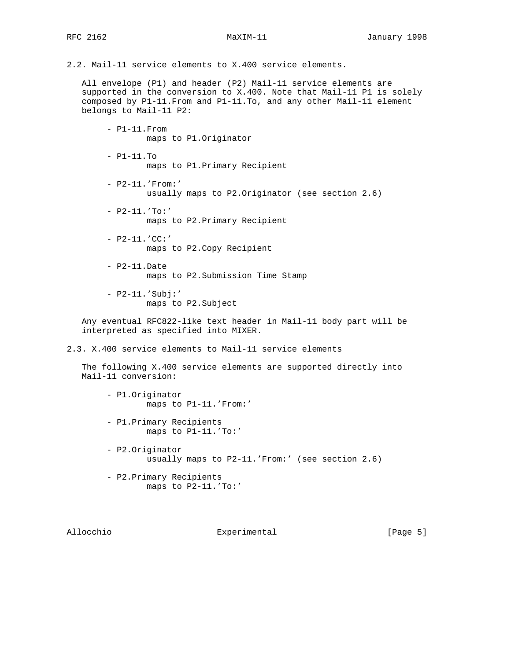2.2. Mail-11 service elements to X.400 service elements.

 All envelope (P1) and header (P2) Mail-11 service elements are supported in the conversion to X.400. Note that Mail-11 P1 is solely composed by P1-11.From and P1-11.To, and any other Mail-11 element belongs to Mail-11 P2:

 - P1-11.From maps to P1.Originator - P1-11.To maps to P1.Primary Recipient - P2-11.'From:' usually maps to P2.Originator (see section 2.6) - P2-11.'To:' maps to P2.Primary Recipient - P2-11.'CC:' maps to P2.Copy Recipient - P2-11.Date maps to P2.Submission Time Stamp - P2-11.'Subj:' maps to P2.Subject Any eventual RFC822-like text header in Mail-11 body part will be interpreted as specified into MIXER. 2.3. X.400 service elements to Mail-11 service elements The following X.400 service elements are supported directly into Mail-11 conversion: - P1.Originator maps to P1-11.'From:' - P1.Primary Recipients maps to P1-11.'To:' - P2.Originator usually maps to P2-11.'From:' (see section 2.6)

> - P2.Primary Recipients maps to P2-11.'To:'

Allocchio  $\Box$  Experimental  $\Box$  [Page 5]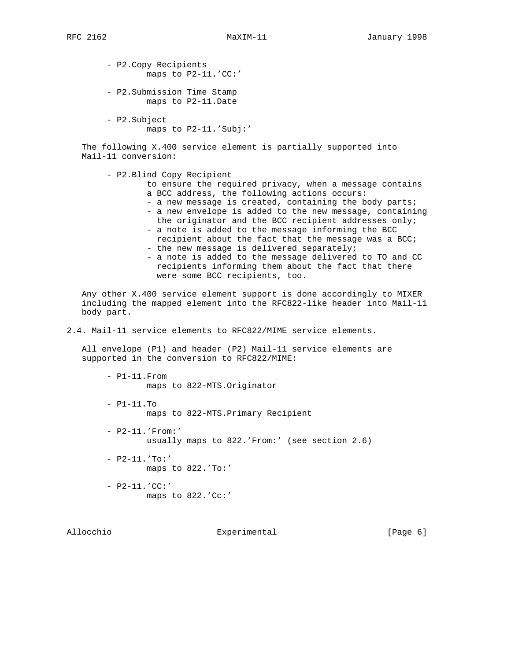- P2.Copy Recipients maps to P2-11.'CC:' - P2.Submission Time Stamp

maps to P2-11.Date

 - P2.Subject maps to P2-11.'Subj:'

 The following X.400 service element is partially supported into Mail-11 conversion:

- P2.Blind Copy Recipient

 to ensure the required privacy, when a message contains a BCC address, the following actions occurs: - a new message is created, containing the body parts;

- a new envelope is added to the new message, containing
- the originator and the BCC recipient addresses only; - a note is added to the message informing the BCC
- recipient about the fact that the message was a BCC; - the new message is delivered separately;
- a note is added to the message delivered to TO and CC recipients informing them about the fact that there were some BCC recipients, too.

 Any other X.400 service element support is done accordingly to MIXER including the mapped element into the RFC822-like header into Mail-11 body part.

2.4. Mail-11 service elements to RFC822/MIME service elements.

 All envelope (P1) and header (P2) Mail-11 service elements are supported in the conversion to RFC822/MIME:

 - P1-11.From maps to 822-MTS.Originator - P1-11.To maps to 822-MTS.Primary Recipient - P2-11.'From:'

usually maps to 822.'From:' (see section 2.6)

 - P2-11.'To:' maps to 822.'To:'

- P2-11.'CC:' maps to 822.'Cc:'

Allocchio  $\Box$  Experimental  $\Box$  [Page 6]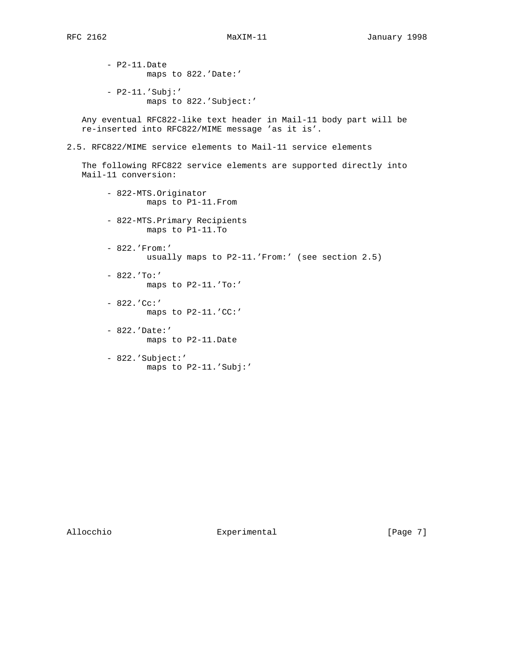- P2-11.Date maps to 822.'Date:'

- P2-11.'Subj:' maps to 822.'Subject:'

 Any eventual RFC822-like text header in Mail-11 body part will be re-inserted into RFC822/MIME message 'as it is'.

2.5. RFC822/MIME service elements to Mail-11 service elements

 The following RFC822 service elements are supported directly into Mail-11 conversion:

- 822-MTS.Originator maps to P1-11.From
- 822-MTS.Primary Recipients maps to P1-11.To
- 822.'From:' usually maps to P2-11.'From:' (see section 2.5)
- $822.$   $'To:$ maps to P2-11.'To:'
- $822. 'Cc: '$ maps to P2-11.'CC:'
- 822.'Date:' maps to P2-11.Date
- 822.'Subject:' maps to P2-11.'Subj:'

Allocchio  $\Box$  Experimental  $\Box$  [Page 7]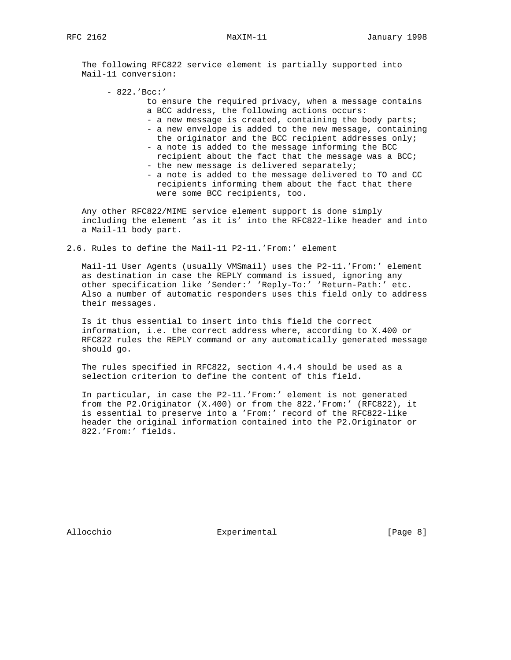The following RFC822 service element is partially supported into Mail-11 conversion:

- 822.'Bcc:'

- to ensure the required privacy, when a message contains a BCC address, the following actions occurs:
- a new message is created, containing the body parts;
- a new envelope is added to the new message, containing the originator and the BCC recipient addresses only;
- a note is added to the message informing the BCC recipient about the fact that the message was a BCC; - the new message is delivered separately;
- a note is added to the message delivered to TO and CC recipients informing them about the fact that there were some BCC recipients, too.

 Any other RFC822/MIME service element support is done simply including the element 'as it is' into the RFC822-like header and into a Mail-11 body part.

2.6. Rules to define the Mail-11 P2-11.'From:' element

 Mail-11 User Agents (usually VMSmail) uses the P2-11.'From:' element as destination in case the REPLY command is issued, ignoring any other specification like 'Sender:' 'Reply-To:' 'Return-Path:' etc. Also a number of automatic responders uses this field only to address their messages.

 Is it thus essential to insert into this field the correct information, i.e. the correct address where, according to X.400 or RFC822 rules the REPLY command or any automatically generated message should go.

 The rules specified in RFC822, section 4.4.4 should be used as a selection criterion to define the content of this field.

 In particular, in case the P2-11.'From:' element is not generated from the P2.Originator (X.400) or from the 822.'From:' (RFC822), it is essential to preserve into a 'From:' record of the RFC822-like header the original information contained into the P2.Originator or 822.'From:' fields.

Allocchio  $\Box$  Experimental  $\Box$  [Page 8]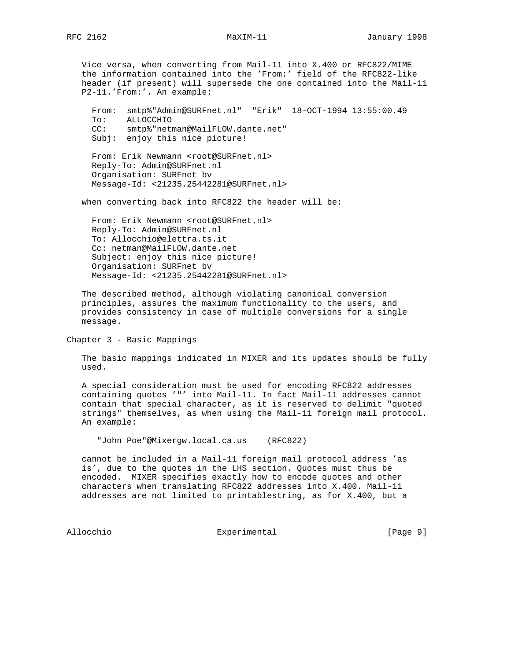Vice versa, when converting from Mail-11 into X.400 or RFC822/MIME the information contained into the 'From:' field of the RFC822-like header (if present) will supersede the one contained into the Mail-11 P2-11.'From:'. An example:

 From: smtp%"Admin@SURFnet.nl" "Erik" 18-OCT-1994 13:55:00.49 To: ALLOCCHIO CC: smtp%"netman@MailFLOW.dante.net" Subj: enjoy this nice picture!

From: Erik Newmann <root@SURFnet.nl> Reply-To: Admin@SURFnet.nl Organisation: SURFnet bv Message-Id: <21235.25442281@SURFnet.nl>

when converting back into RFC822 the header will be:

From: Erik Newmann <root@SURFnet.nl> Reply-To: Admin@SURFnet.nl To: Allocchio@elettra.ts.it Cc: netman@MailFLOW.dante.net Subject: enjoy this nice picture! Organisation: SURFnet bv Message-Id: <21235.25442281@SURFnet.nl>

 The described method, although violating canonical conversion principles, assures the maximum functionality to the users, and provides consistency in case of multiple conversions for a single message.

Chapter 3 - Basic Mappings

 The basic mappings indicated in MIXER and its updates should be fully used.

 A special consideration must be used for encoding RFC822 addresses containing quotes '"' into Mail-11. In fact Mail-11 addresses cannot contain that special character, as it is reserved to delimit "quoted strings" themselves, as when using the Mail-11 foreign mail protocol. An example:

"John Poe"@Mixergw.local.ca.us (RFC822)

 cannot be included in a Mail-11 foreign mail protocol address 'as is', due to the quotes in the LHS section. Quotes must thus be encoded. MIXER specifies exactly how to encode quotes and other characters when translating RFC822 addresses into X.400. Mail-11 addresses are not limited to printablestring, as for X.400, but a

Allocchio **Experimental** Experimental [Page 9]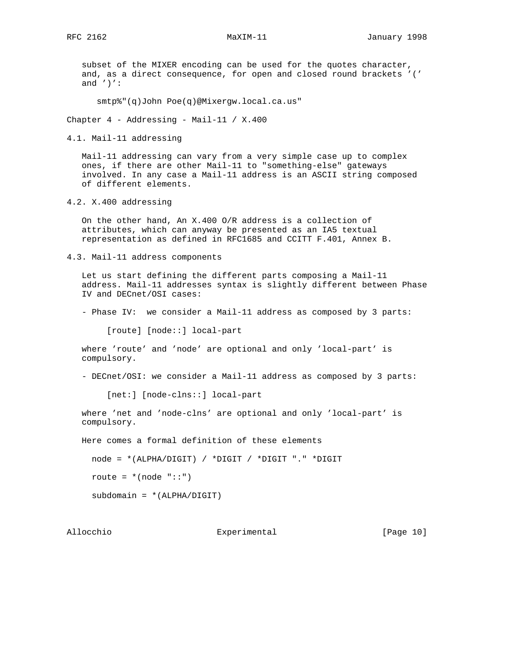subset of the MIXER encoding can be used for the quotes character, and, as a direct consequence, for open and closed round brackets '(' and  $'$ )':

smtp%"(q)John Poe(q)@Mixergw.local.ca.us"

Chapter 4 - Addressing - Mail-11 / X.400

4.1. Mail-11 addressing

 Mail-11 addressing can vary from a very simple case up to complex ones, if there are other Mail-11 to "something-else" gateways involved. In any case a Mail-11 address is an ASCII string composed of different elements.

4.2. X.400 addressing

 On the other hand, An X.400 O/R address is a collection of attributes, which can anyway be presented as an IA5 textual representation as defined in RFC1685 and CCITT F.401, Annex B.

4.3. Mail-11 address components

 Let us start defining the different parts composing a Mail-11 address. Mail-11 addresses syntax is slightly different between Phase IV and DECnet/OSI cases:

- Phase IV: we consider a Mail-11 address as composed by 3 parts:

[route] [node::] local-part

 where 'route' and 'node' are optional and only 'local-part' is compulsory.

- DECnet/OSI: we consider a Mail-11 address as composed by 3 parts:

[net:] [node-clns::] local-part

 where 'net and 'node-clns' are optional and only 'local-part' is compulsory.

Here comes a formal definition of these elements

node = \*(ALPHA/DIGIT) / \*DIGIT / \*DIGIT "." \*DIGIT

route =  $*(node "::")$ 

 $subdomain = *(\text{ALPHA}/\text{DIGIT})$ 

Allocchio  $\Box$  Experimental [Page 10]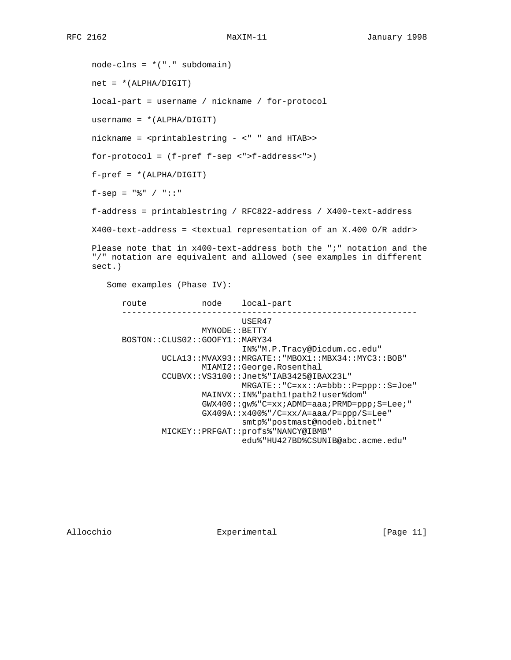$node-clns = *("." subdomain)$  $net = * (ALPHA/DIGIT)$  local-part = username / nickname / for-protocol username = \*(ALPHA/DIGIT) nickname = <printablestring - <" " and HTAB>> for-protocol = (f-pref f-sep <">f-address<">)  $f-pref = *(\text{ALPHA}/\text{DIGIT})$ f-sep =  $"$  \* / "::" f-address = printablestring / RFC822-address / X400-text-address X400-text-address = <textual representation of an X.400 O/R addr> Please note that in x400-text-address both the ";" notation and the "/" notation are equivalent and allowed (see examples in different sect.) Some examples (Phase IV): route node local-part ----------------------------------------------------------- USER47 MYNODE::BETTY BOSTON::CLUS02::GOOFY1::MARY34 IN%"M.P.Tracy@Dicdum.cc.edu" UCLA13::MVAX93::MRGATE::"MBOX1::MBX34::MYC3::BOB" MIAMI2::George.Rosenthal CCUBVX::VS3100::Jnet%"IAB3425@IBAX23L" MRGATE::"C=xx::A=bbb::P=ppp::S=Joe" MAINVX::IN%"path1!path2!user%dom" GWX400::gw%"C=xx;ADMD=aaa;PRMD=ppp;S=Lee;" GX409A::x400%"/C=xx/A=aaa/P=ppp/S=Lee" smtp%"postmast@nodeb.bitnet" MICKEY::PRFGAT::profs%"NANCY@IBMB" edu%"HU427BD%CSUNIB@abc.acme.edu"

Allocchio  $\qquad \qquad$  Experimental [Page 11]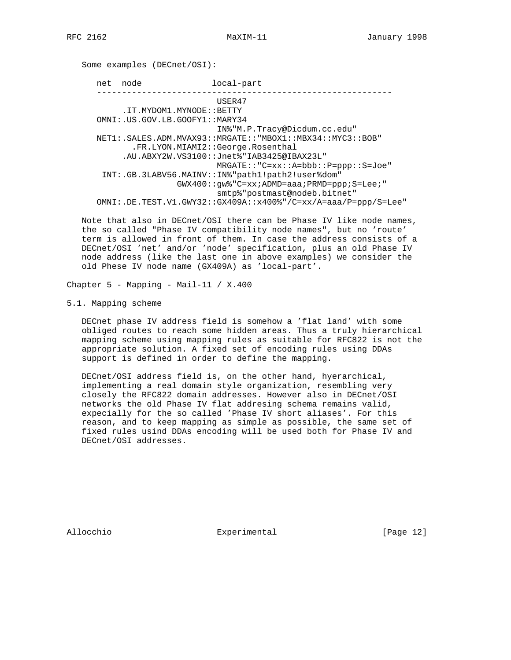Some examples (DECnet/OSI): net node local-part ----------------------------------------------------------- USER47 .IT.MYDOM1.MYNODE::BETTY OMNI:.US.GOV.LB.GOOFY1::MARY34 IN%"M.P.Tracy@Dicdum.cc.edu" NET1:.SALES.ADM.MVAX93::MRGATE::"MBOX1::MBX34::MYC3::BOB" .FR.LYON.MIAMI2::George.Rosenthal .AU.ABXY2W.VS3100::Jnet%"IAB3425@IBAX23L" MRGATE::"C=xx::A=bbb::P=ppp::S=Joe" INT:.GB.3LABV56.MAINV::IN%"path1!path2!user%dom" GWX400::gw%"C=xx;ADMD=aaa;PRMD=ppp;S=Lee;" smtp%"postmast@nodeb.bitnet" OMNI:.DE.TEST.V1.GWY32::GX409A::x400%"/C=xx/A=aaa/P=ppp/S=Lee"

 Note that also in DECnet/OSI there can be Phase IV like node names, the so called "Phase IV compatibility node names", but no 'route' term is allowed in front of them. In case the address consists of a DECnet/OSI 'net' and/or 'node' specification, plus an old Phase IV node address (like the last one in above examples) we consider the old Phese IV node name (GX409A) as 'local-part'.

Chapter 5 - Mapping - Mail-11 / X.400

5.1. Mapping scheme

 DECnet phase IV address field is somehow a 'flat land' with some obliged routes to reach some hidden areas. Thus a truly hierarchical mapping scheme using mapping rules as suitable for RFC822 is not the appropriate solution. A fixed set of encoding rules using DDAs support is defined in order to define the mapping.

 DECnet/OSI address field is, on the other hand, hyerarchical, implementing a real domain style organization, resembling very closely the RFC822 domain addresses. However also in DECnet/OSI networks the old Phase IV flat addresing schema remains valid, expecially for the so called 'Phase IV short aliases'. For this reason, and to keep mapping as simple as possible, the same set of fixed rules usind DDAs encoding will be used both for Phase IV and DECnet/OSI addresses.

Allocchio  $\Box$  Experimental [Page 12]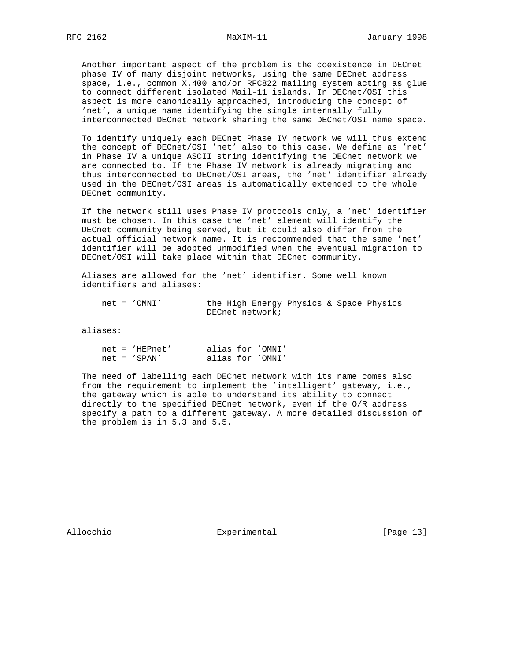Another important aspect of the problem is the coexistence in DECnet phase IV of many disjoint networks, using the same DECnet address space, i.e., common X.400 and/or RFC822 mailing system acting as glue to connect different isolated Mail-11 islands. In DECnet/OSI this aspect is more canonically approached, introducing the concept of 'net', a unique name identifying the single internally fully interconnected DECnet network sharing the same DECnet/OSI name space.

 To identify uniquely each DECnet Phase IV network we will thus extend the concept of DECnet/OSI 'net' also to this case. We define as 'net' in Phase IV a unique ASCII string identifying the DECnet network we are connected to. If the Phase IV network is already migrating and thus interconnected to DECnet/OSI areas, the 'net' identifier already used in the DECnet/OSI areas is automatically extended to the whole DECnet community.

 If the network still uses Phase IV protocols only, a 'net' identifier must be chosen. In this case the 'net' element will identify the DECnet community being served, but it could also differ from the actual official network name. It is reccommended that the same 'net' identifier will be adopted unmodified when the eventual migration to DECnet/OSI will take place within that DECnet community.

 Aliases are allowed for the 'net' identifier. Some well known identifiers and aliases:

 net = 'OMNI' the High Energy Physics & Space Physics DECnet network;

aliases:

| $net = 'HEPnet'$ |  | alias for 'OMNI' |
|------------------|--|------------------|
| $net = 'SPAN'$   |  | alias for 'OMNI' |

 The need of labelling each DECnet network with its name comes also from the requirement to implement the 'intelligent' gateway, i.e., the gateway which is able to understand its ability to connect directly to the specified DECnet network, even if the O/R address specify a path to a different gateway. A more detailed discussion of the problem is in 5.3 and 5.5.

Allocchio  $\qquad \qquad$  Experimental [Page 13]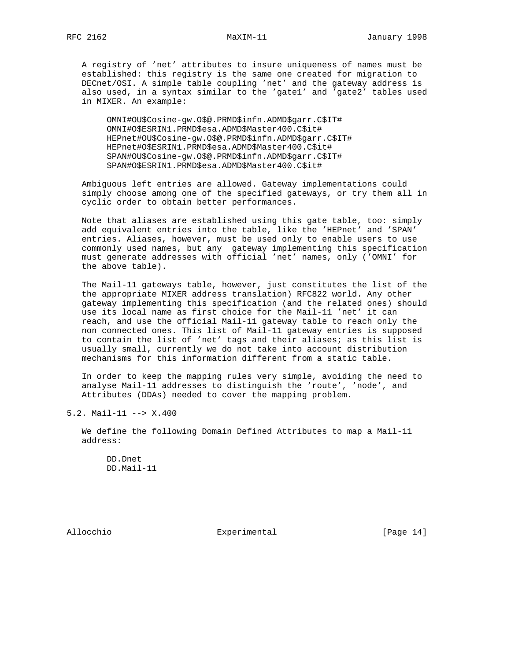A registry of 'net' attributes to insure uniqueness of names must be established: this registry is the same one created for migration to DECnet/OSI. A simple table coupling 'net' and the gateway address is also used, in a syntax similar to the 'gate1' and 'gate2' tables used in MIXER. An example:

 OMNI#OU\$Cosine-gw.O\$@.PRMD\$infn.ADMD\$garr.C\$IT# OMNI#O\$ESRIN1.PRMD\$esa.ADMD\$Master400.C\$it# HEPnet#OU\$Cosine-gw.O\$@.PRMD\$infn.ADMD\$garr.C\$IT# HEPnet#O\$ESRIN1.PRMD\$esa.ADMD\$Master400.C\$it# SPAN#OU\$Cosine-gw.O\$@.PRMD\$infn.ADMD\$garr.C\$IT# SPAN#O\$ESRIN1.PRMD\$esa.ADMD\$Master400.C\$it#

 Ambiguous left entries are allowed. Gateway implementations could simply choose among one of the specified gateways, or try them all in cyclic order to obtain better performances.

 Note that aliases are established using this gate table, too: simply add equivalent entries into the table, like the 'HEPnet' and 'SPAN' entries. Aliases, however, must be used only to enable users to use commonly used names, but any gateway implementing this specification must generate addresses with official 'net' names, only ('OMNI' for the above table).

 The Mail-11 gateways table, however, just constitutes the list of the the appropriate MIXER address translation) RFC822 world. Any other gateway implementing this specification (and the related ones) should use its local name as first choice for the Mail-11 'net' it can reach, and use the official Mail-11 gateway table to reach only the non connected ones. This list of Mail-11 gateway entries is supposed to contain the list of 'net' tags and their aliases; as this list is usually small, currently we do not take into account distribution mechanisms for this information different from a static table.

 In order to keep the mapping rules very simple, avoiding the need to analyse Mail-11 addresses to distinguish the 'route', 'node', and Attributes (DDAs) needed to cover the mapping problem.

5.2. Mail-11 --> X.400

 We define the following Domain Defined Attributes to map a Mail-11 address:

 DD.Dnet DD.Mail-11

Allocchio Experimental [Page 14]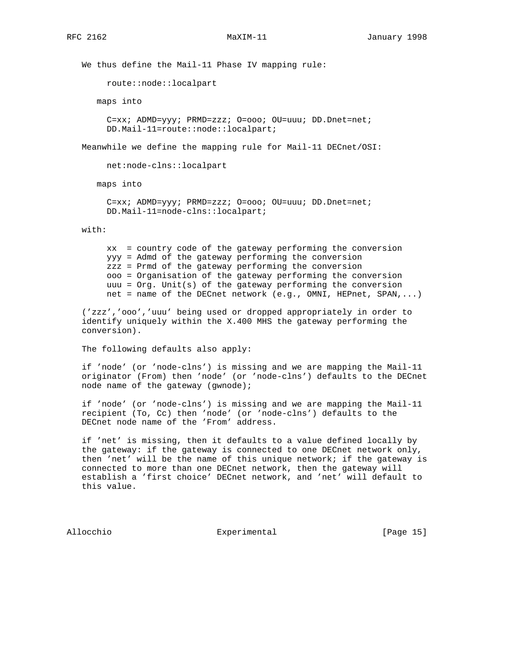We thus define the Mail-11 Phase IV mapping rule:

route::node::localpart

maps into

 C=xx; ADMD=yyy; PRMD=zzz; O=ooo; OU=uuu; DD.Dnet=net; DD.Mail-11=route::node::localpart;

Meanwhile we define the mapping rule for Mail-11 DECnet/OSI:

net:node-clns::localpart

maps into

 C=xx; ADMD=yyy; PRMD=zzz; O=ooo; OU=uuu; DD.Dnet=net; DD.Mail-11=node-clns::localpart;

with:

 xx = country code of the gateway performing the conversion yyy = Admd of the gateway performing the conversion zzz = Prmd of the gateway performing the conversion ooo = Organisation of the gateway performing the conversion uuu = Org. Unit(s) of the gateway performing the conversion net = name of the DECnet network (e.g., OMNI, HEPnet, SPAN,...)

 ('zzz','ooo','uuu' being used or dropped appropriately in order to identify uniquely within the X.400 MHS the gateway performing the conversion).

The following defaults also apply:

 if 'node' (or 'node-clns') is missing and we are mapping the Mail-11 originator (From) then 'node' (or 'node-clns') defaults to the DECnet node name of the gateway (gwnode);

 if 'node' (or 'node-clns') is missing and we are mapping the Mail-11 recipient (To, Cc) then 'node' (or 'node-clns') defaults to the DECnet node name of the 'From' address.

 if 'net' is missing, then it defaults to a value defined locally by the gateway: if the gateway is connected to one DECnet network only, then 'net' will be the name of this unique network; if the gateway is connected to more than one DECnet network, then the gateway will establish a 'first choice' DECnet network, and 'net' will default to this value.

Allocchio  $\Box$  Experimental [Page 15]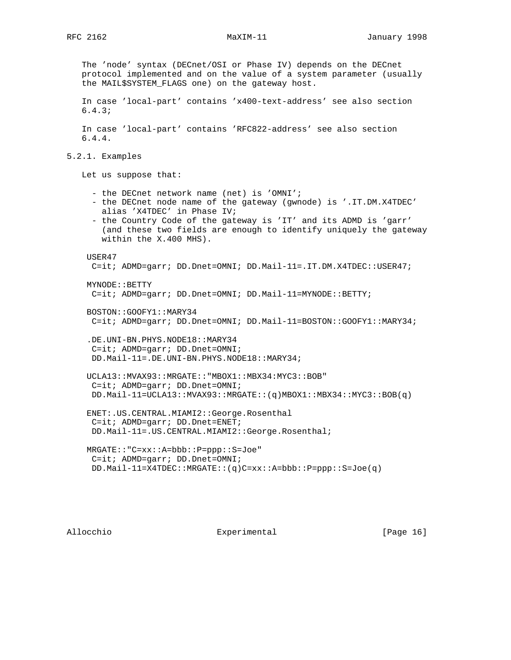The 'node' syntax (DECnet/OSI or Phase IV) depends on the DECnet protocol implemented and on the value of a system parameter (usually the MAIL\$SYSTEM\_FLAGS one) on the gateway host. In case 'local-part' contains 'x400-text-address' see also section 6.4.3; In case 'local-part' contains 'RFC822-address' see also section 6.4.4. 5.2.1. Examples Let us suppose that: - the DECnet network name (net) is 'OMNI'; - the DECnet node name of the gateway (gwnode) is '.IT.DM.X4TDEC' alias 'X4TDEC' in Phase IV; - the Country Code of the gateway is 'IT' and its ADMD is 'garr' (and these two fields are enough to identify uniquely the gateway within the X.400 MHS). USER47 C=it; ADMD=garr; DD.Dnet=OMNI; DD.Mail-11=.IT.DM.X4TDEC::USER47; MYNODE::BETTY C=it; ADMD=garr; DD.Dnet=OMNI; DD.Mail-11=MYNODE::BETTY; BOSTON::GOOFY1::MARY34 C=it; ADMD=garr; DD.Dnet=OMNI; DD.Mail-11=BOSTON::GOOFY1::MARY34; .DE.UNI-BN.PHYS.NODE18::MARY34 C=it; ADMD=garr; DD.Dnet=OMNI; DD.Mail-11=.DE.UNI-BN.PHYS.NODE18::MARY34; UCLA13::MVAX93::MRGATE::"MBOX1::MBX34:MYC3::BOB" C=it; ADMD=garr; DD.Dnet=OMNI; DD.Mail-11=UCLA13::MVAX93::MRGATE::(q)MBOX1::MBX34::MYC3::BOB(q) ENET:.US.CENTRAL.MIAMI2::George.Rosenthal C=it; ADMD=garr; DD.Dnet=ENET; DD.Mail-11=.US.CENTRAL.MIAMI2::George.Rosenthal; MRGATE::"C=xx::A=bbb::P=ppp::S=Joe" C=it; ADMD=garr; DD.Dnet=OMNI; DD.Mail-11=X4TDEC::MRGATE::(q)C=xx::A=bbb::P=ppp::S=Joe(q)

Allocchio  $\qquad \qquad$  Experimental [Page 16]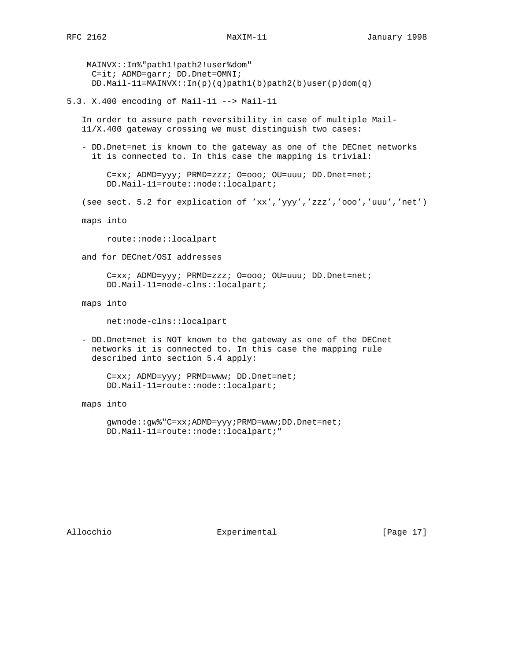MAINVX::In%"path1!path2!user%dom" C=it; ADMD=garr; DD.Dnet=OMNI; DD.Mail-11=MAINVX:: $In(p)(q) path1(b) path2(b) user(p)dom(q)$ 

5.3. X.400 encoding of Mail-11 --> Mail-11

 In order to assure path reversibility in case of multiple Mail- 11/X.400 gateway crossing we must distinguish two cases:

 - DD.Dnet=net is known to the gateway as one of the DECnet networks it is connected to. In this case the mapping is trivial:

 C=xx; ADMD=yyy; PRMD=zzz; O=ooo; OU=uuu; DD.Dnet=net; DD.Mail-11=route::node::localpart;

(see sect. 5.2 for explication of 'xx','yyy','zzz','ooo','uuu','net')

maps into

route::node::localpart

and for DECnet/OSI addresses

 C=xx; ADMD=yyy; PRMD=zzz; O=ooo; OU=uuu; DD.Dnet=net; DD.Mail-11=node-clns::localpart;

maps into

net:node-clns::localpart

 - DD.Dnet=net is NOT known to the gateway as one of the DECnet networks it is connected to. In this case the mapping rule described into section 5.4 apply:

 C=xx; ADMD=yyy; PRMD=www; DD.Dnet=net; DD.Mail-11=route::node::localpart;

maps into

 gwnode::gw%"C=xx;ADMD=yyy;PRMD=www;DD.Dnet=net; DD.Mail-11=route::node::localpart;"

Allocchio  $\Box$  Experimental [Page 17]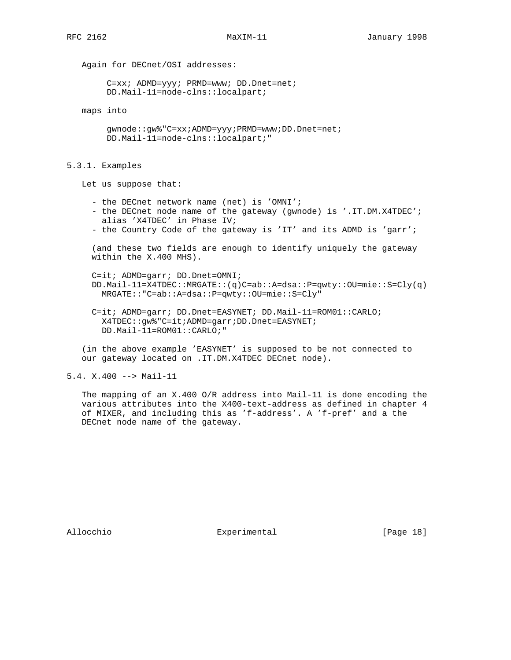Again for DECnet/OSI addresses:

 C=xx; ADMD=yyy; PRMD=www; DD.Dnet=net; DD.Mail-11=node-clns::localpart;

maps into

 gwnode::gw%"C=xx;ADMD=yyy;PRMD=www;DD.Dnet=net; DD.Mail-11=node-clns::localpart;"

5.3.1. Examples

Let us suppose that:

- the DECnet network name (net) is 'OMNI';
- the DECnet node name of the gateway (gwnode) is '.IT.DM.X4TDEC'; alias 'X4TDEC' in Phase IV;
- the Country Code of the gateway is 'IT' and its ADMD is 'garr';

 (and these two fields are enough to identify uniquely the gateway within the X.400 MHS).

 C=it; ADMD=garr; DD.Dnet=OMNI; DD.Mail-11=X4TDEC::MRGATE::(q)C=ab::A=dsa::P=qwty::OU=mie::S=Cly(q) MRGATE::"C=ab::A=dsa::P=qwty::OU=mie::S=Cly"

 C=it; ADMD=garr; DD.Dnet=EASYNET; DD.Mail-11=ROM01::CARLO; X4TDEC::gw%"C=it;ADMD=garr;DD.Dnet=EASYNET; DD.Mail-11=ROM01::CARLO;"

 (in the above example 'EASYNET' is supposed to be not connected to our gateway located on .IT.DM.X4TDEC DECnet node).

5.4. X.400 --> Mail-11

 The mapping of an X.400 O/R address into Mail-11 is done encoding the various attributes into the X400-text-address as defined in chapter 4 of MIXER, and including this as 'f-address'. A 'f-pref' and a the DECnet node name of the gateway.

Allocchio  $\Box$  Experimental [Page 18]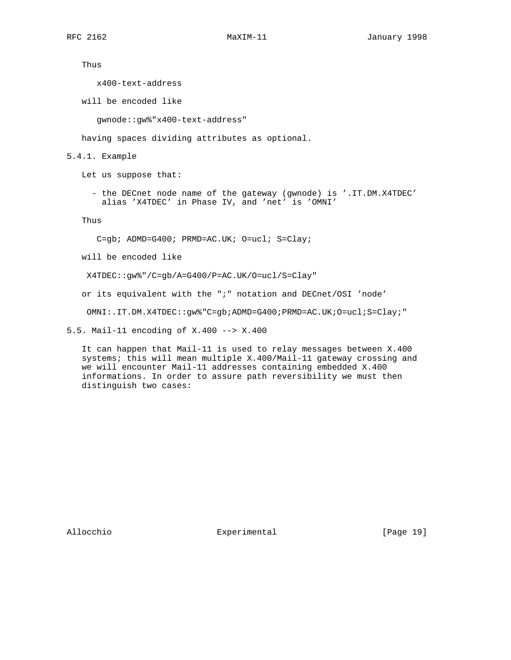Thus

x400-text-address

will be encoded like

gwnode::gw%"x400-text-address"

having spaces dividing attributes as optional.

5.4.1. Example

Let us suppose that:

 - the DECnet node name of the gateway (gwnode) is '.IT.DM.X4TDEC' alias 'X4TDEC' in Phase IV, and 'net' is 'OMNI'

Thus

C=gb; ADMD=G400; PRMD=AC.UK; O=ucl; S=Clay;

will be encoded like

X4TDEC::gw%"/C=gb/A=G400/P=AC.UK/O=ucl/S=Clay"

or its equivalent with the ";" notation and DECnet/OSI 'node'

OMNI:.IT.DM.X4TDEC::gw%"C=gb;ADMD=G400;PRMD=AC.UK;O=ucl;S=Clay;"

5.5. Mail-11 encoding of X.400 --> X.400

 It can happen that Mail-11 is used to relay messages between X.400 systems; this will mean multiple X.400/Mail-11 gateway crossing and we will encounter Mail-11 addresses containing embedded X.400 informations. In order to assure path reversibility we must then distinguish two cases:

Allocchio Experimental [Page 19]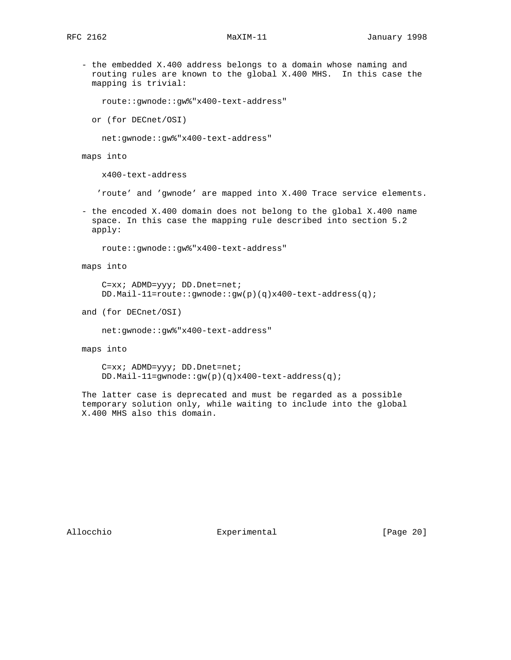- the embedded X.400 address belongs to a domain whose naming and routing rules are known to the global X.400 MHS. In this case the mapping is trivial:

route::gwnode::gw%"x400-text-address"

or (for DECnet/OSI)

net:gwnode::gw%"x400-text-address"

maps into

x400-text-address

'route' and 'gwnode' are mapped into X.400 Trace service elements.

 - the encoded X.400 domain does not belong to the global X.400 name space. In this case the mapping rule described into section 5.2 apply:

route::gwnode::gw%"x400-text-address"

maps into

 C=xx; ADMD=yyy; DD.Dnet=net; DD.Mail-11=route::gwnode::gw(p)(q)x400-text-address(q);

and (for DECnet/OSI)

net:gwnode::gw%"x400-text-address"

maps into

 C=xx; ADMD=yyy; DD.Dnet=net; DD.Mail-11=gwnode::gw(p)(q)x400-text-address(q);

 The latter case is deprecated and must be regarded as a possible temporary solution only, while waiting to include into the global X.400 MHS also this domain.

Allocchio  $\qquad \qquad$  Experimental [Page 20]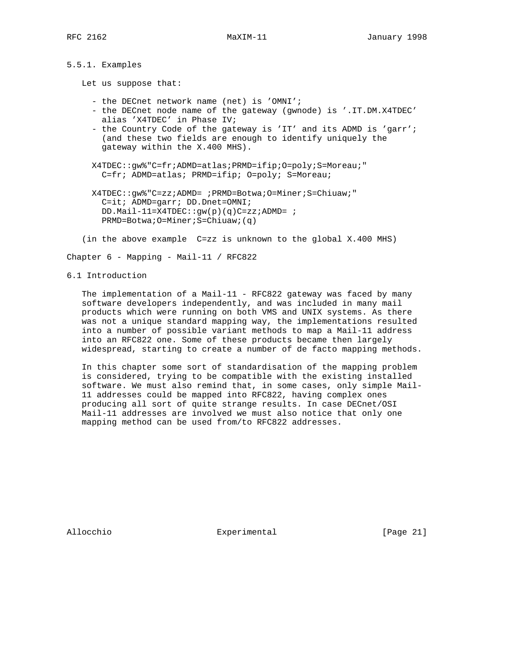# 5.5.1. Examples

Let us suppose that:

- the DECnet network name (net) is 'OMNI';
- the DECnet node name of the gateway (gwnode) is '.IT.DM.X4TDEC' alias 'X4TDEC' in Phase IV;
- the Country Code of the gateway is 'IT' and its ADMD is 'garr'; (and these two fields are enough to identify uniquely the gateway within the X.400 MHS).
- X4TDEC::gw%"C=fr;ADMD=atlas;PRMD=ifip;O=poly;S=Moreau;" C=fr; ADMD=atlas; PRMD=ifip; O=poly; S=Moreau;
- X4TDEC::gw%"C=zz;ADMD= ;PRMD=Botwa;O=Miner;S=Chiuaw;" C=it; ADMD=garr; DD.Dnet=OMNI; DD.Mail-11=X4TDEC:: $gw(p)(q)C=zz;ADMD=$ ; PRMD=Botwa;O=Miner;S=Chiuaw;(q)
- (in the above example C=zz is unknown to the global X.400 MHS)

Chapter 6 - Mapping - Mail-11 / RFC822

6.1 Introduction

 The implementation of a Mail-11 - RFC822 gateway was faced by many software developers independently, and was included in many mail products which were running on both VMS and UNIX systems. As there was not a unique standard mapping way, the implementations resulted into a number of possible variant methods to map a Mail-11 address into an RFC822 one. Some of these products became then largely widespread, starting to create a number of de facto mapping methods.

 In this chapter some sort of standardisation of the mapping problem is considered, trying to be compatible with the existing installed software. We must also remind that, in some cases, only simple Mail- 11 addresses could be mapped into RFC822, having complex ones producing all sort of quite strange results. In case DECnet/OSI Mail-11 addresses are involved we must also notice that only one mapping method can be used from/to RFC822 addresses.

Allocchio  $\qquad \qquad$  Experimental [Page 21]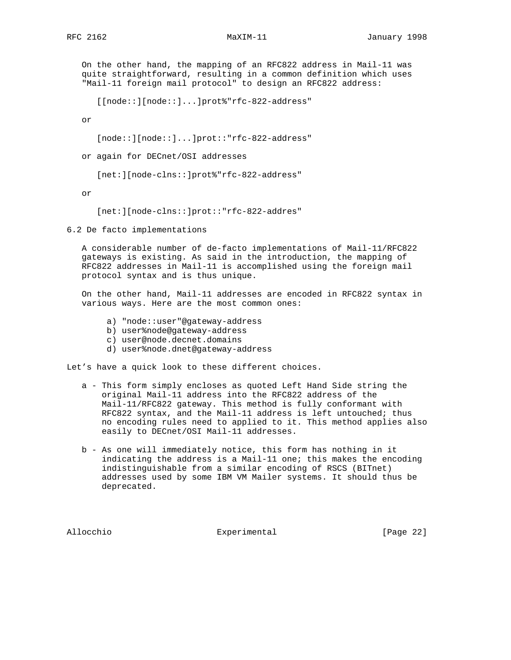On the other hand, the mapping of an RFC822 address in Mail-11 was quite straightforward, resulting in a common definition which uses "Mail-11 foreign mail protocol" to design an RFC822 address:

[[node::][node::]...]prot%"rfc-822-address"

or

[node::][node::]...]prot::"rfc-822-address"

or again for DECnet/OSI addresses

[net:][node-clns::]prot%"rfc-822-address"

or

[net:][node-clns::]prot::"rfc-822-addres"

6.2 De facto implementations

 A considerable number of de-facto implementations of Mail-11/RFC822 gateways is existing. As said in the introduction, the mapping of RFC822 addresses in Mail-11 is accomplished using the foreign mail protocol syntax and is thus unique.

 On the other hand, Mail-11 addresses are encoded in RFC822 syntax in various ways. Here are the most common ones:

- a) "node::user"@gateway-address
- b) user%node@gateway-address
- c) user@node.decnet.domains
- d) user%node.dnet@gateway-address

Let's have a quick look to these different choices.

- a This form simply encloses as quoted Left Hand Side string the original Mail-11 address into the RFC822 address of the Mail-11/RFC822 gateway. This method is fully conformant with RFC822 syntax, and the Mail-11 address is left untouched; thus no encoding rules need to applied to it. This method applies also easily to DECnet/OSI Mail-11 addresses.
- b As one will immediately notice, this form has nothing in it indicating the address is a Mail-11 one; this makes the encoding indistinguishable from a similar encoding of RSCS (BITnet) addresses used by some IBM VM Mailer systems. It should thus be deprecated.

Allocchio  $\Box$  Experimental [Page 22]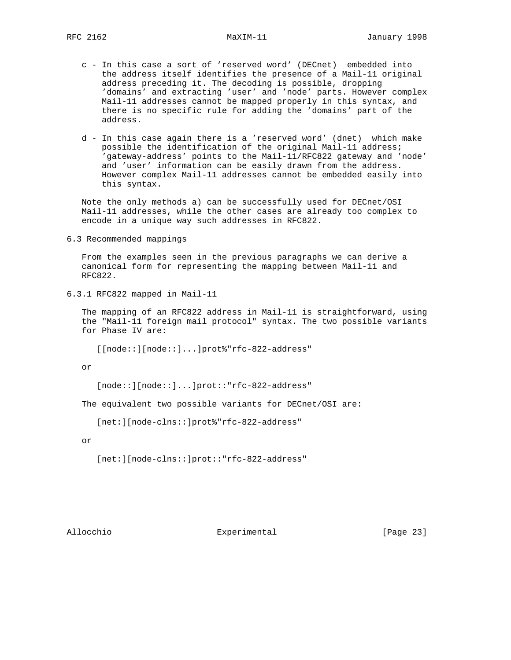- c In this case a sort of 'reserved word' (DECnet) embedded into the address itself identifies the presence of a Mail-11 original address preceding it. The decoding is possible, dropping 'domains' and extracting 'user' and 'node' parts. However complex Mail-11 addresses cannot be mapped properly in this syntax, and there is no specific rule for adding the 'domains' part of the address.
- d In this case again there is a 'reserved word' (dnet) which make possible the identification of the original Mail-11 address; 'gateway-address' points to the Mail-11/RFC822 gateway and 'node' and 'user' information can be easily drawn from the address. However complex Mail-11 addresses cannot be embedded easily into this syntax.

 Note the only methods a) can be successfully used for DECnet/OSI Mail-11 addresses, while the other cases are already too complex to encode in a unique way such addresses in RFC822.

6.3 Recommended mappings

 From the examples seen in the previous paragraphs we can derive a canonical form for representing the mapping between Mail-11 and RFC822.

```
6.3.1 RFC822 mapped in Mail-11
```
 The mapping of an RFC822 address in Mail-11 is straightforward, using the "Mail-11 foreign mail protocol" syntax. The two possible variants for Phase IV are:

[[node::][node::]...]prot%"rfc-822-address"

or

```
 [node::][node::]...]prot::"rfc-822-address"
```
The equivalent two possible variants for DECnet/OSI are:

[net:][node-clns::]prot%"rfc-822-address"

or

[net:][node-clns::]prot::"rfc-822-address"

Allocchio  $\qquad \qquad$  Experimental [Page 23]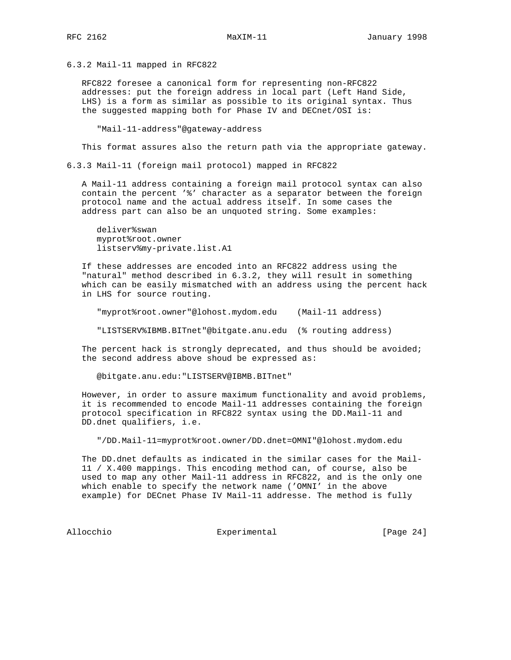6.3.2 Mail-11 mapped in RFC822

 RFC822 foresee a canonical form for representing non-RFC822 addresses: put the foreign address in local part (Left Hand Side, LHS) is a form as similar as possible to its original syntax. Thus the suggested mapping both for Phase IV and DECnet/OSI is:

"Mail-11-address"@gateway-address

This format assures also the return path via the appropriate gateway.

6.3.3 Mail-11 (foreign mail protocol) mapped in RFC822

 A Mail-11 address containing a foreign mail protocol syntax can also contain the percent '%' character as a separator between the foreign protocol name and the actual address itself. In some cases the address part can also be an unquoted string. Some examples:

 deliver%swan myprot%root.owner listserv%my-private.list.A1

 If these addresses are encoded into an RFC822 address using the "natural" method described in 6.3.2, they will result in something which can be easily mismatched with an address using the percent hack in LHS for source routing.

"myprot%root.owner"@lohost.mydom.edu (Mail-11 address)

"LISTSERV%IBMB.BITnet"@bitgate.anu.edu (% routing address)

The percent hack is strongly deprecated, and thus should be avoided; the second address above shoud be expressed as:

@bitgate.anu.edu:"LISTSERV@IBMB.BITnet"

 However, in order to assure maximum functionality and avoid problems, it is recommended to encode Mail-11 addresses containing the foreign protocol specification in RFC822 syntax using the DD.Mail-11 and DD.dnet qualifiers, i.e.

"/DD.Mail-11=myprot%root.owner/DD.dnet=OMNI"@lohost.mydom.edu

 The DD.dnet defaults as indicated in the similar cases for the Mail- 11 / X.400 mappings. This encoding method can, of course, also be used to map any other Mail-11 address in RFC822, and is the only one which enable to specify the network name ('OMNI' in the above example) for DECnet Phase IV Mail-11 addresse. The method is fully

Allocchio **Experimental** Experimental [Page 24]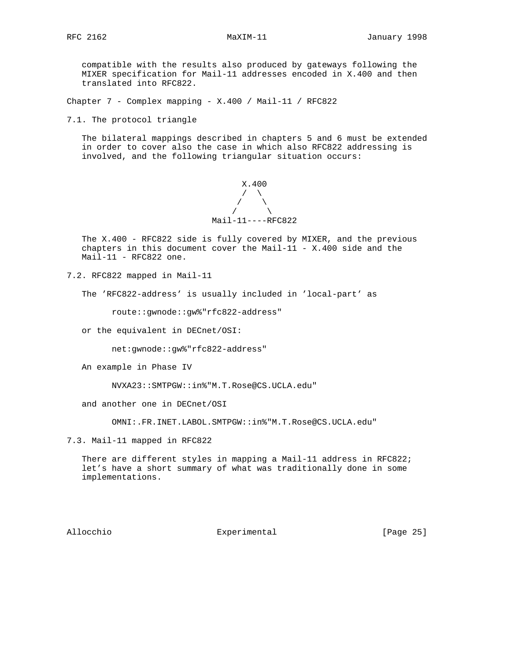compatible with the results also produced by gateways following the MIXER specification for Mail-11 addresses encoded in X.400 and then translated into RFC822.

Chapter 7 - Complex mapping - X.400 / Mail-11 / RFC822

7.1. The protocol triangle

 The bilateral mappings described in chapters 5 and 6 must be extended in order to cover also the case in which also RFC822 addressing is involved, and the following triangular situation occurs:



 The X.400 - RFC822 side is fully covered by MIXER, and the previous chapters in this document cover the Mail-11 -  $X.400$  side and the  $Mail-11 - RFC822$  one.

7.2. RFC822 mapped in Mail-11

The 'RFC822-address' is usually included in 'local-part' as

route::gwnode::gw%"rfc822-address"

or the equivalent in DECnet/OSI:

net:gwnode::gw%"rfc822-address"

An example in Phase IV

NVXA23::SMTPGW::in%"M.T.Rose@CS.UCLA.edu"

and another one in DECnet/OSI

OMNI:.FR.INET.LABOL.SMTPGW::in%"M.T.Rose@CS.UCLA.edu"

7.3. Mail-11 mapped in RFC822

There are different styles in mapping a Mail-11 address in RFC822; let's have a short summary of what was traditionally done in some implementations.

Allocchio  $\Box$  Experimental [Page 25]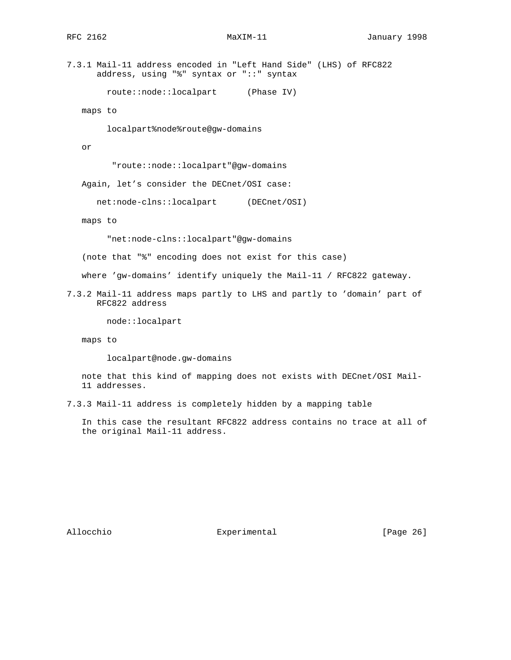7.3.1 Mail-11 address encoded in "Left Hand Side" (LHS) of RFC822 address, using "%" syntax or "::" syntax

route::node::localpart (Phase IV)

maps to

localpart%node%route@gw-domains

or

"route::node::localpart"@gw-domains

Again, let's consider the DECnet/OSI case:

net:node-clns::localpart (DECnet/OSI)

maps to

"net:node-clns::localpart"@gw-domains

(note that "%" encoding does not exist for this case)

where 'gw-domains' identify uniquely the Mail-11 / RFC822 gateway.

7.3.2 Mail-11 address maps partly to LHS and partly to 'domain' part of RFC822 address

node::localpart

maps to

localpart@node.gw-domains

 note that this kind of mapping does not exists with DECnet/OSI Mail- 11 addresses.

7.3.3 Mail-11 address is completely hidden by a mapping table

 In this case the resultant RFC822 address contains no trace at all of the original Mail-11 address.

Allocchio  $\qquad \qquad$  Experimental [Page 26]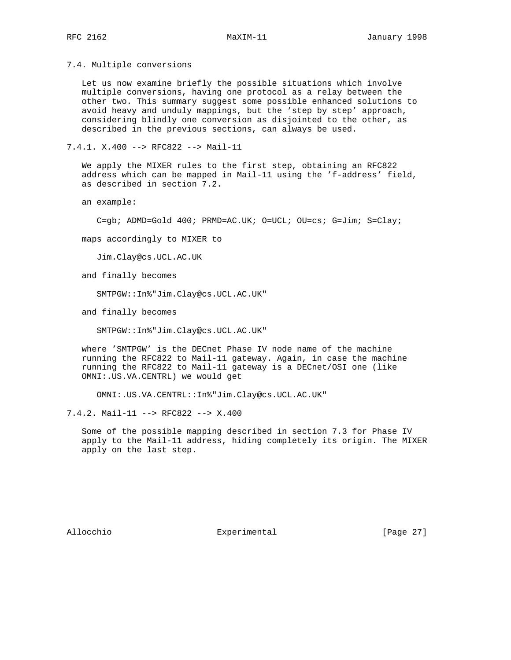7.4. Multiple conversions

 Let us now examine briefly the possible situations which involve multiple conversions, having one protocol as a relay between the other two. This summary suggest some possible enhanced solutions to avoid heavy and unduly mappings, but the 'step by step' approach, considering blindly one conversion as disjointed to the other, as described in the previous sections, can always be used.

7.4.1. X.400 --> RFC822 --> Mail-11

 We apply the MIXER rules to the first step, obtaining an RFC822 address which can be mapped in Mail-11 using the 'f-address' field, as described in section 7.2.

an example:

C=gb; ADMD=Gold 400; PRMD=AC.UK; O=UCL; OU=cs; G=Jim; S=Clay;

maps accordingly to MIXER to

Jim.Clay@cs.UCL.AC.UK

and finally becomes

SMTPGW::In%"Jim.Clay@cs.UCL.AC.UK"

and finally becomes

SMTPGW::In%"Jim.Clay@cs.UCL.AC.UK"

 where 'SMTPGW' is the DECnet Phase IV node name of the machine running the RFC822 to Mail-11 gateway. Again, in case the machine running the RFC822 to Mail-11 gateway is a DECnet/OSI one (like OMNI:.US.VA.CENTRL) we would get

OMNI:.US.VA.CENTRL::In%"Jim.Clay@cs.UCL.AC.UK"

7.4.2. Mail-11 --> RFC822 --> X.400

 Some of the possible mapping described in section 7.3 for Phase IV apply to the Mail-11 address, hiding completely its origin. The MIXER apply on the last step.

Allocchio  $\Box$  Experimental [Page 27]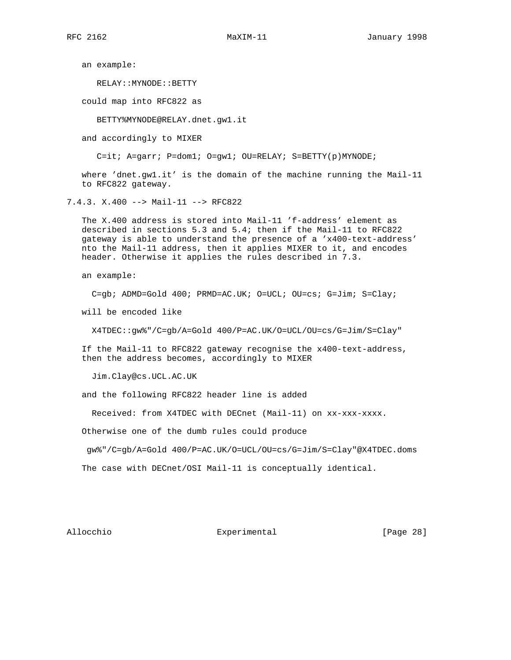an example:

RELAY::MYNODE::BETTY

could map into RFC822 as

BETTY%MYNODE@RELAY.dnet.gw1.it

and accordingly to MIXER

C=it; A=garr; P=dom1; O=gw1; OU=RELAY; S=BETTY(p)MYNODE;

 where 'dnet.gw1.it' is the domain of the machine running the Mail-11 to RFC822 gateway.

7.4.3. X.400 --> Mail-11 --> RFC822

 The X.400 address is stored into Mail-11 'f-address' element as described in sections 5.3 and 5.4; then if the Mail-11 to RFC822 gateway is able to understand the presence of a 'x400-text-address' nto the Mail-11 address, then it applies MIXER to it, and encodes header. Otherwise it applies the rules described in 7.3.

an example:

C=gb; ADMD=Gold 400; PRMD=AC.UK; O=UCL; OU=cs; G=Jim; S=Clay;

will be encoded like

X4TDEC::gw%"/C=gb/A=Gold 400/P=AC.UK/O=UCL/OU=cs/G=Jim/S=Clay"

 If the Mail-11 to RFC822 gateway recognise the x400-text-address, then the address becomes, accordingly to MIXER

Jim.Clay@cs.UCL.AC.UK

and the following RFC822 header line is added

Received: from X4TDEC with DECnet (Mail-11) on xx-xxx-xxxx.

Otherwise one of the dumb rules could produce

gw%"/C=gb/A=Gold 400/P=AC.UK/O=UCL/OU=cs/G=Jim/S=Clay"@X4TDEC.doms

The case with DECnet/OSI Mail-11 is conceptually identical.

Allocchio  $\Box$  Experimental [Page 28]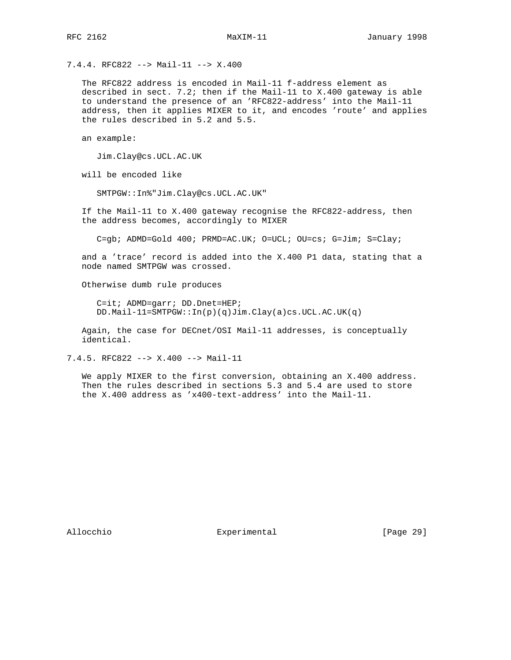7.4.4. RFC822 --> Mail-11 --> X.400

 The RFC822 address is encoded in Mail-11 f-address element as described in sect. 7.2; then if the Mail-11 to  $X.400$  gateway is able to understand the presence of an 'RFC822-address' into the Mail-11 address, then it applies MIXER to it, and encodes 'route' and applies the rules described in 5.2 and 5.5.

an example:

Jim.Clay@cs.UCL.AC.UK

will be encoded like

SMTPGW::In%"Jim.Clay@cs.UCL.AC.UK"

 If the Mail-11 to X.400 gateway recognise the RFC822-address, then the address becomes, accordingly to MIXER

C=gb; ADMD=Gold 400; PRMD=AC.UK; O=UCL; OU=cs; G=Jim; S=Clay;

 and a 'trace' record is added into the X.400 P1 data, stating that a node named SMTPGW was crossed.

Otherwise dumb rule produces

 C=it; ADMD=garr; DD.Dnet=HEP; DD.Mail-11=SMTPGW::In(p)(q)Jim.Clay(a)cs.UCL.AC.UK(q)

 Again, the case for DECnet/OSI Mail-11 addresses, is conceptually identical.

7.4.5. RFC822 --> X.400 --> Mail-11

 We apply MIXER to the first conversion, obtaining an X.400 address. Then the rules described in sections 5.3 and 5.4 are used to store the X.400 address as 'x400-text-address' into the Mail-11.

Allocchio Experimental [Page 29]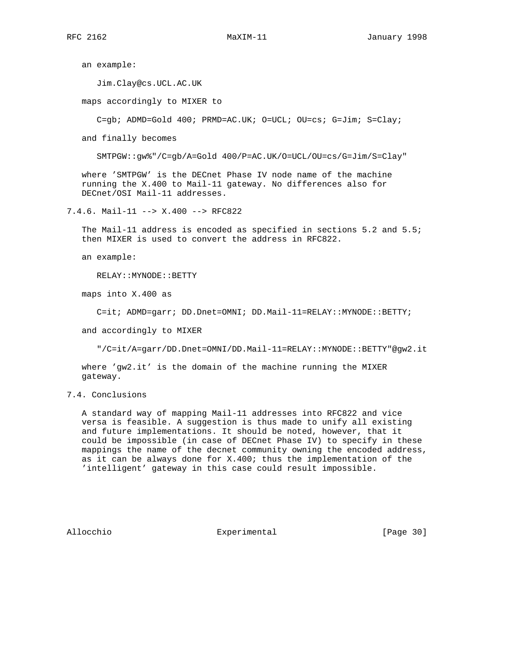an example:

Jim.Clay@cs.UCL.AC.UK

maps accordingly to MIXER to

C=gb; ADMD=Gold 400; PRMD=AC.UK; O=UCL; OU=cs; G=Jim; S=Clay;

and finally becomes

SMTPGW::gw%"/C=gb/A=Gold 400/P=AC.UK/O=UCL/OU=cs/G=Jim/S=Clay"

 where 'SMTPGW' is the DECnet Phase IV node name of the machine running the X.400 to Mail-11 gateway. No differences also for DECnet/OSI Mail-11 addresses.

7.4.6. Mail-11 --> X.400 --> RFC822

 The Mail-11 address is encoded as specified in sections 5.2 and 5.5; then MIXER is used to convert the address in RFC822.

an example:

RELAY::MYNODE::BETTY

maps into X.400 as

C=it; ADMD=garr; DD.Dnet=OMNI; DD.Mail-11=RELAY::MYNODE::BETTY;

and accordingly to MIXER

"/C=it/A=garr/DD.Dnet=OMNI/DD.Mail-11=RELAY::MYNODE::BETTY"@gw2.it

 where 'gw2.it' is the domain of the machine running the MIXER gateway.

7.4. Conclusions

 A standard way of mapping Mail-11 addresses into RFC822 and vice versa is feasible. A suggestion is thus made to unify all existing and future implementations. It should be noted, however, that it could be impossible (in case of DECnet Phase IV) to specify in these mappings the name of the decnet community owning the encoded address, as it can be always done for X.400; thus the implementation of the 'intelligent' gateway in this case could result impossible.

Allocchio  $\Box$  Experimental [Page 30]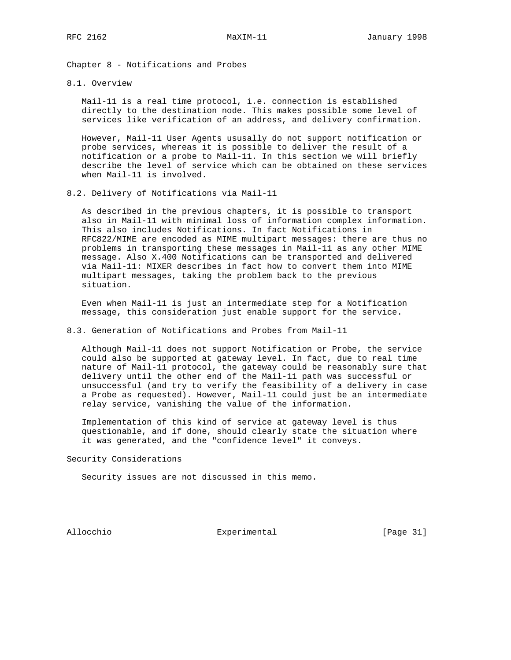Chapter 8 - Notifications and Probes

8.1. Overview

 Mail-11 is a real time protocol, i.e. connection is established directly to the destination node. This makes possible some level of services like verification of an address, and delivery confirmation.

 However, Mail-11 User Agents ususally do not support notification or probe services, whereas it is possible to deliver the result of a notification or a probe to Mail-11. In this section we will briefly describe the level of service which can be obtained on these services when Mail-11 is involved.

8.2. Delivery of Notifications via Mail-11

 As described in the previous chapters, it is possible to transport also in Mail-11 with minimal loss of information complex information. This also includes Notifications. In fact Notifications in RFC822/MIME are encoded as MIME multipart messages: there are thus no problems in transporting these messages in Mail-11 as any other MIME message. Also X.400 Notifications can be transported and delivered via Mail-11: MIXER describes in fact how to convert them into MIME multipart messages, taking the problem back to the previous situation.

 Even when Mail-11 is just an intermediate step for a Notification message, this consideration just enable support for the service.

8.3. Generation of Notifications and Probes from Mail-11

 Although Mail-11 does not support Notification or Probe, the service could also be supported at gateway level. In fact, due to real time nature of Mail-11 protocol, the gateway could be reasonably sure that delivery until the other end of the Mail-11 path was successful or unsuccessful (and try to verify the feasibility of a delivery in case a Probe as requested). However, Mail-11 could just be an intermediate relay service, vanishing the value of the information.

 Implementation of this kind of service at gateway level is thus questionable, and if done, should clearly state the situation where it was generated, and the "confidence level" it conveys.

Security Considerations

Security issues are not discussed in this memo.

Allocchio **Experimental** [Page 31]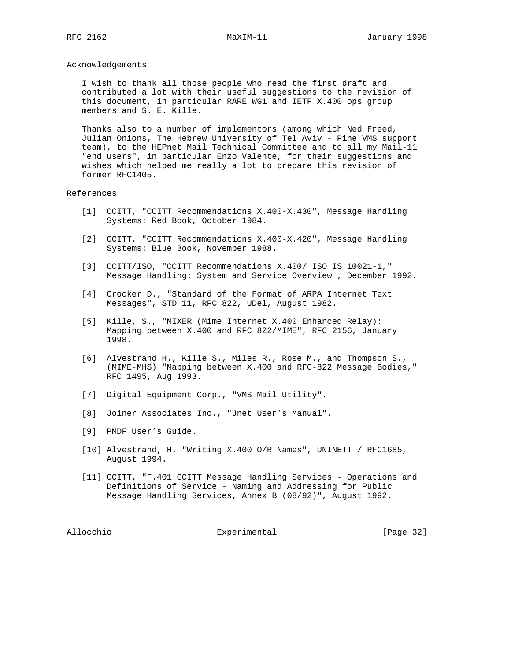### Acknowledgements

 I wish to thank all those people who read the first draft and contributed a lot with their useful suggestions to the revision of this document, in particular RARE WG1 and IETF X.400 ops group members and S. E. Kille.

 Thanks also to a number of implementors (among which Ned Freed, Julian Onions, The Hebrew University of Tel Aviv - Pine VMS support team), to the HEPnet Mail Technical Committee and to all my Mail-11 "end users", in particular Enzo Valente, for their suggestions and wishes which helped me really a lot to prepare this revision of former RFC1405.

### References

- [1] CCITT, "CCITT Recommendations X.400-X.430", Message Handling Systems: Red Book, October 1984.
- [2] CCITT, "CCITT Recommendations X.400-X.420", Message Handling Systems: Blue Book, November 1988.
- [3] CCITT/ISO, "CCITT Recommendations X.400/ ISO IS 10021-1," Message Handling: System and Service Overview , December 1992.
- [4] Crocker D., "Standard of the Format of ARPA Internet Text Messages", STD 11, RFC 822, UDel, August 1982.
- [5] Kille, S., "MIXER (Mime Internet X.400 Enhanced Relay): Mapping between X.400 and RFC 822/MIME", RFC 2156, January 1998.
- [6] Alvestrand H., Kille S., Miles R., Rose M., and Thompson S., (MIME-MHS) "Mapping between X.400 and RFC-822 Message Bodies," RFC 1495, Aug 1993.
- [7] Digital Equipment Corp., "VMS Mail Utility".
- [8] Joiner Associates Inc., "Jnet User's Manual".
- [9] PMDF User's Guide.
- [10] Alvestrand, H. "Writing X.400 O/R Names", UNINETT / RFC1685, August 1994.
- [11] CCITT, "F.401 CCITT Message Handling Services Operations and Definitions of Service - Naming and Addressing for Public Message Handling Services, Annex B (08/92)", August 1992.

Allocchio **Experimental** [Page 32]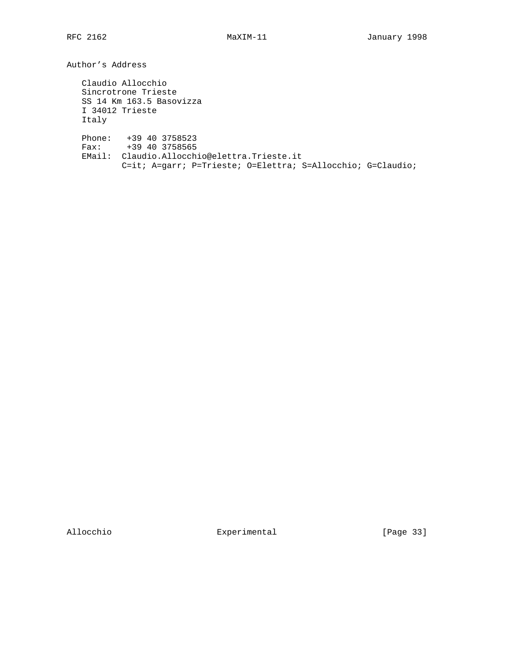Author's Address

 Claudio Allocchio Sincrotrone Trieste SS 14 Km 163.5 Basovizza I 34012 Trieste Italy Phone: +39 40 3758523 Fax: +39 40 3758565 EMail: Claudio.Allocchio@elettra.Trieste.it C=it; A=garr; P=Trieste; O=Elettra; S=Allocchio; G=Claudio;

Allocchio **Experimental** Experimental [Page 33]